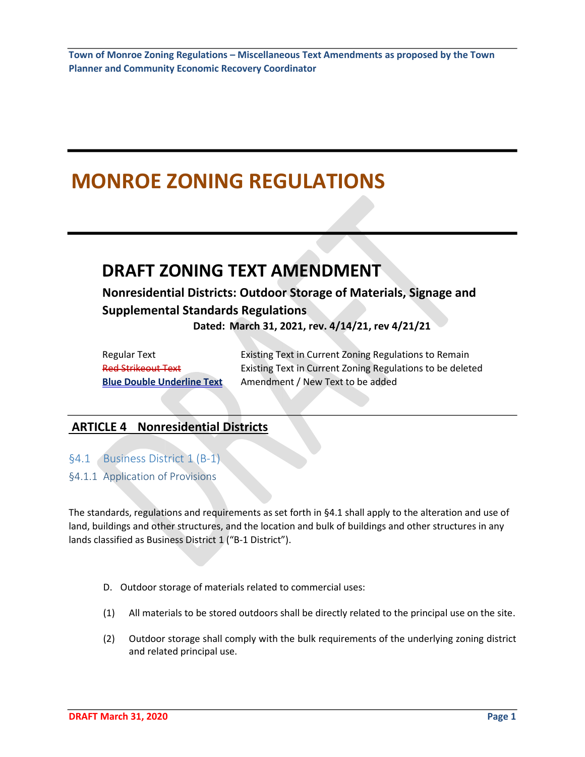# **MONROE ZONING REGULATIONS**

# **DRAFT ZONING TEXT AMENDMENT**

# **Nonresidential Districts: Outdoor Storage of Materials, Signage and Supplemental Standards Regulations**

 **Dated: March 31, 2021, rev. 4/14/21, rev 4/21/21**

| Regular Text                      | Existing Text in Current Zoning Regulations to Remain     |
|-----------------------------------|-----------------------------------------------------------|
| <b>Red Strikeout Text</b>         | Existing Text in Current Zoning Regulations to be deleted |
| <b>Blue Double Underline Text</b> | Amendment / New Text to be added                          |

### **ARTICLE 4 Nonresidential Districts**

§4.1 Business District 1 (B-1)

§4.1.1 Application of Provisions

The standards, regulations and requirements as set forth in §4.1 shall apply to the alteration and use of land, buildings and other structures, and the location and bulk of buildings and other structures in any lands classified as Business District 1 ("B-1 District").

- D. Outdoor storage of materials related to commercial uses:
- (1) All materials to be stored outdoors shall be directly related to the principal use on the site.
- (2) Outdoor storage shall comply with the bulk requirements of the underlying zoning district and related principal use.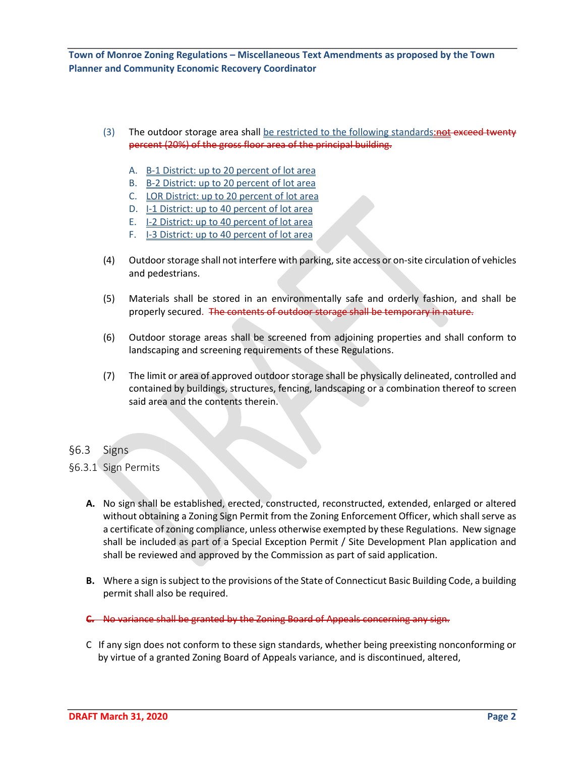- (3) The outdoor storage area shall be restricted to the following standards:not exceed twenty percent (20%) of the gross floor area of the principal building.
	- A. B-1 District: up to 20 percent of lot area
	- B. B-2 District: up to 20 percent of lot area
	- C. LOR District: up to 20 percent of lot area
	- D. I-1 District: up to 40 percent of lot area
	- E. I-2 District: up to 40 percent of lot area
	- F. I-3 District: up to 40 percent of lot area
- (4) Outdoor storage shall not interfere with parking, site access or on-site circulation of vehicles and pedestrians.
- (5) Materials shall be stored in an environmentally safe and orderly fashion, and shall be properly secured. The contents of outdoor storage shall be temporary in nature.
- (6) Outdoor storage areas shall be screened from adjoining properties and shall conform to landscaping and screening requirements of these Regulations.
- (7) The limit or area of approved outdoor storage shall be physically delineated, controlled and contained by buildings, structures, fencing, landscaping or a combination thereof to screen said area and the contents therein.
- §6.3 Signs
- §6.3.1 Sign Permits
	- **A.** No sign shall be established, erected, constructed, reconstructed, extended, enlarged or altered without obtaining a Zoning Sign Permit from the Zoning Enforcement Officer, which shall serve as a certificate of zoning compliance, unless otherwise exempted by these Regulations. New signage shall be included as part of a Special Exception Permit / Site Development Plan application and shall be reviewed and approved by the Commission as part of said application.
	- **B.** Where a sign is subject to the provisions of the State of Connecticut Basic Building Code, a building permit shall also be required.
	- **C.** No variance shall be granted by the Zoning Board of Appeals concerning any sign.
	- C If any sign does not conform to these sign standards, whether being preexisting nonconforming or by virtue of a granted Zoning Board of Appeals variance, and is discontinued, altered,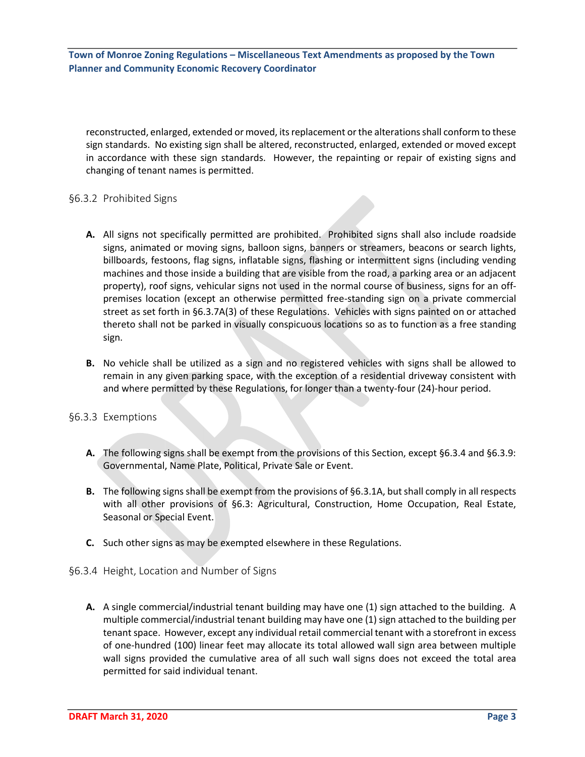reconstructed, enlarged, extended or moved, its replacement or the alterations shall conform to these sign standards. No existing sign shall be altered, reconstructed, enlarged, extended or moved except in accordance with these sign standards. However, the repainting or repair of existing signs and changing of tenant names is permitted.

#### §6.3.2 Prohibited Signs

- **A.** All signs not specifically permitted are prohibited. Prohibited signs shall also include roadside signs, animated or moving signs, balloon signs, banners or streamers, beacons or search lights, billboards, festoons, flag signs, inflatable signs, flashing or intermittent signs (including vending machines and those inside a building that are visible from the road, a parking area or an adjacent property), roof signs, vehicular signs not used in the normal course of business, signs for an offpremises location (except an otherwise permitted free-standing sign on a private commercial street as set forth in §6.3.7A(3) of these Regulations. Vehicles with signs painted on or attached thereto shall not be parked in visually conspicuous locations so as to function as a free standing sign.
- **B.** No vehicle shall be utilized as a sign and no registered vehicles with signs shall be allowed to remain in any given parking space, with the exception of a residential driveway consistent with and where permitted by these Regulations, for longer than a twenty-four (24)-hour period.

#### §6.3.3 Exemptions

- **A.** The following signs shall be exempt from the provisions of this Section, except §6.3.4 and §6.3.9: Governmental, Name Plate, Political, Private Sale or Event.
- **B.** The following signs shall be exempt from the provisions of §6.3.1A, but shall comply in all respects with all other provisions of §6.3: Agricultural, Construction, Home Occupation, Real Estate, Seasonal or Special Event.
- **C.** Such other signs as may be exempted elsewhere in these Regulations.
- §6.3.4 Height, Location and Number of Signs
	- **A.** A single commercial/industrial tenant building may have one (1) sign attached to the building. A multiple commercial/industrial tenant building may have one (1) sign attached to the building per tenant space. However, except any individual retail commercial tenant with a storefront in excess of one-hundred (100) linear feet may allocate its total allowed wall sign area between multiple wall signs provided the cumulative area of all such wall signs does not exceed the total area permitted for said individual tenant.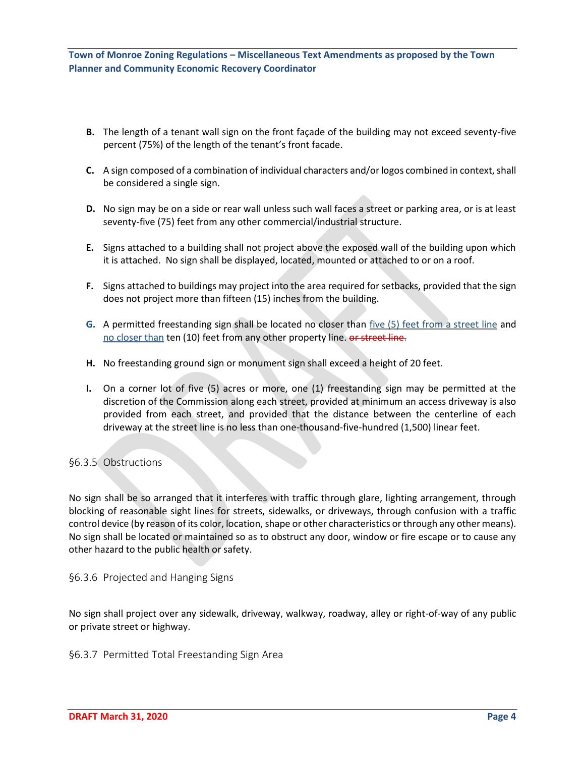- **B.** The length of a tenant wall sign on the front façade of the building may not exceed seventy-five percent (75%) of the length of the tenant's front facade.
- **C.** A sign composed of a combination of individual characters and/or logos combined in context, shall be considered a single sign.
- **D.** No sign may be on a side or rear wall unless such wall faces a street or parking area, or is at least seventy-five (75) feet from any other commercial/industrial structure.
- **E.** Signs attached to a building shall not project above the exposed wall of the building upon which it is attached. No sign shall be displayed, located, mounted or attached to or on a roof.
- **F.** Signs attached to buildings may project into the area required for setbacks, provided that the sign does not project more than fifteen (15) inches from the building.
- **G.** A permitted freestanding sign shall be located no closer than five (5) feet from a street line and no closer than ten (10) feet from any other property line. or street line.
- **H.** No freestanding ground sign or monument sign shall exceed a height of 20 feet.
- **I.** On a corner lot of five (5) acres or more, one (1) freestanding sign may be permitted at the discretion of the Commission along each street, provided at minimum an access driveway is also provided from each street, and provided that the distance between the centerline of each driveway at the street line is no less than one-thousand-five-hundred (1,500) linear feet.

#### §6.3.5 Obstructions

No sign shall be so arranged that it interferes with traffic through glare, lighting arrangement, through blocking of reasonable sight lines for streets, sidewalks, or driveways, through confusion with a traffic control device (by reason of its color, location, shape or other characteristics or through any other means). No sign shall be located or maintained so as to obstruct any door, window or fire escape or to cause any other hazard to the public health or safety.

§6.3.6 Projected and Hanging Signs

No sign shall project over any sidewalk, driveway, walkway, roadway, alley or right-of-way of any public or private street or highway.

§6.3.7 Permitted Total Freestanding Sign Area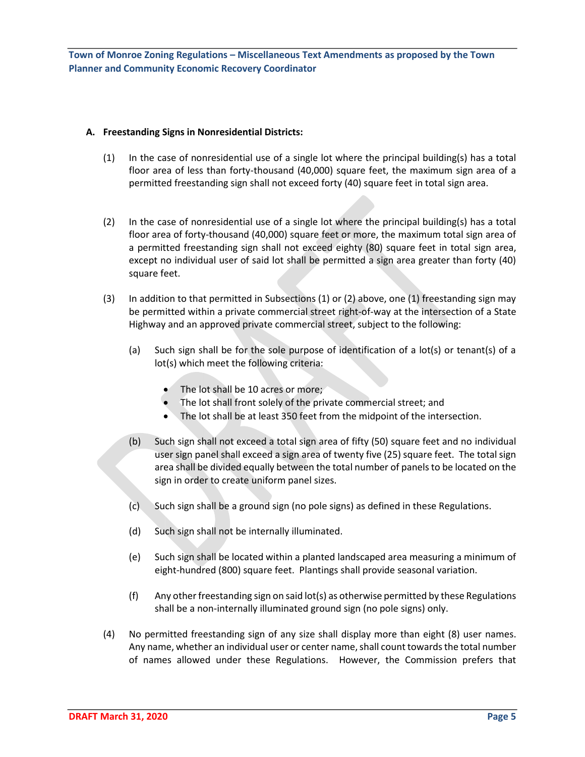#### **A. Freestanding Signs in Nonresidential Districts:**

- (1) In the case of nonresidential use of a single lot where the principal building(s) has a total floor area of less than forty-thousand (40,000) square feet, the maximum sign area of a permitted freestanding sign shall not exceed forty (40) square feet in total sign area.
- (2) In the case of nonresidential use of a single lot where the principal building(s) has a total floor area of forty-thousand (40,000) square feet or more, the maximum total sign area of a permitted freestanding sign shall not exceed eighty (80) square feet in total sign area, except no individual user of said lot shall be permitted a sign area greater than forty (40) square feet.
- (3) In addition to that permitted in Subsections (1) or (2) above, one (1) freestanding sign may be permitted within a private commercial street right-of-way at the intersection of a State Highway and an approved private commercial street, subject to the following:
	- (a) Such sign shall be for the sole purpose of identification of a lot(s) or tenant(s) of a lot(s) which meet the following criteria:
		- The lot shall be 10 acres or more;
		- The lot shall front solely of the private commercial street; and
		- The lot shall be at least 350 feet from the midpoint of the intersection.
	- (b) Such sign shall not exceed a total sign area of fifty (50) square feet and no individual user sign panel shall exceed a sign area of twenty five (25) square feet. The total sign area shall be divided equally between the total number of panels to be located on the sign in order to create uniform panel sizes.
	- (c) Such sign shall be a ground sign (no pole signs) as defined in these Regulations.
	- (d) Such sign shall not be internally illuminated.
	- (e) Such sign shall be located within a planted landscaped area measuring a minimum of eight-hundred (800) square feet. Plantings shall provide seasonal variation.
	- (f) Any other freestanding sign on said lot(s) as otherwise permitted by these Regulations shall be a non-internally illuminated ground sign (no pole signs) only.
- (4) No permitted freestanding sign of any size shall display more than eight (8) user names. Any name, whether an individual user or center name, shall count towards the total number of names allowed under these Regulations. However, the Commission prefers that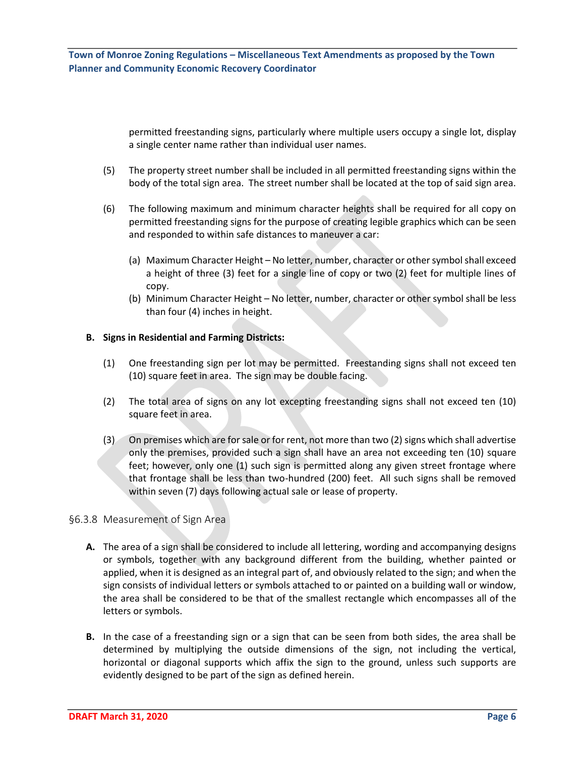permitted freestanding signs, particularly where multiple users occupy a single lot, display a single center name rather than individual user names.

- (5) The property street number shall be included in all permitted freestanding signs within the body of the total sign area. The street number shall be located at the top of said sign area.
- (6) The following maximum and minimum character heights shall be required for all copy on permitted freestanding signs for the purpose of creating legible graphics which can be seen and responded to within safe distances to maneuver a car:
	- (a) Maximum Character Height No letter, number, character or other symbol shall exceed a height of three (3) feet for a single line of copy or two (2) feet for multiple lines of copy.
	- (b) Minimum Character Height No letter, number, character or other symbol shall be less than four (4) inches in height.

#### **B. Signs in Residential and Farming Districts:**

- (1) One freestanding sign per lot may be permitted. Freestanding signs shall not exceed ten (10) square feet in area. The sign may be double facing.
- (2) The total area of signs on any lot excepting freestanding signs shall not exceed ten (10) square feet in area.
- (3) On premises which are for sale or for rent, not more than two (2) signs which shall advertise only the premises, provided such a sign shall have an area not exceeding ten (10) square feet; however, only one (1) such sign is permitted along any given street frontage where that frontage shall be less than two-hundred (200) feet. All such signs shall be removed within seven (7) days following actual sale or lease of property.

#### §6.3.8 Measurement of Sign Area

- **A.** The area of a sign shall be considered to include all lettering, wording and accompanying designs or symbols, together with any background different from the building, whether painted or applied, when it is designed as an integral part of, and obviously related to the sign; and when the sign consists of individual letters or symbols attached to or painted on a building wall or window, the area shall be considered to be that of the smallest rectangle which encompasses all of the letters or symbols.
- **B.** In the case of a freestanding sign or a sign that can be seen from both sides, the area shall be determined by multiplying the outside dimensions of the sign, not including the vertical, horizontal or diagonal supports which affix the sign to the ground, unless such supports are evidently designed to be part of the sign as defined herein.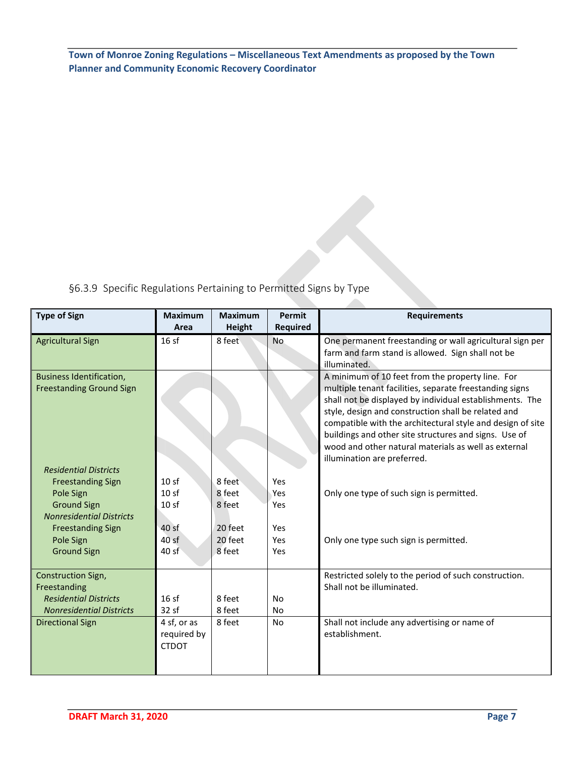§6.3.9 Specific Regulations Pertaining to Permitted Signs by Type

| <b>Type of Sign</b>             | <b>Maximum</b>   | <b>Maximum</b> | Permit          | <b>Requirements</b>                                                                                             |
|---------------------------------|------------------|----------------|-----------------|-----------------------------------------------------------------------------------------------------------------|
|                                 | Area             | <b>Height</b>  | <b>Required</b> |                                                                                                                 |
| <b>Agricultural Sign</b>        | 16sf             | 8 feet         | <b>No</b>       | One permanent freestanding or wall agricultural sign per                                                        |
|                                 |                  |                |                 | farm and farm stand is allowed. Sign shall not be                                                               |
|                                 |                  |                |                 | illuminated.                                                                                                    |
| <b>Business Identification,</b> |                  |                |                 | A minimum of 10 feet from the property line. For                                                                |
| <b>Freestanding Ground Sign</b> |                  |                |                 | multiple tenant facilities, separate freestanding signs                                                         |
|                                 |                  |                |                 | shall not be displayed by individual establishments. The<br>style, design and construction shall be related and |
|                                 |                  |                |                 | compatible with the architectural style and design of site                                                      |
|                                 |                  |                |                 | buildings and other site structures and signs. Use of                                                           |
|                                 |                  |                |                 | wood and other natural materials as well as external                                                            |
|                                 |                  |                |                 | illumination are preferred.                                                                                     |
| <b>Residential Districts</b>    |                  |                |                 |                                                                                                                 |
| <b>Freestanding Sign</b>        | 10sf             | 8 feet         | Yes             |                                                                                                                 |
| Pole Sign                       | 10sf             | 8 feet         | Yes             | Only one type of such sign is permitted.                                                                        |
| <b>Ground Sign</b>              | 10 <sub>sf</sub> | 8 feet         | Yes             |                                                                                                                 |
| <b>Nonresidential Districts</b> |                  |                |                 |                                                                                                                 |
| <b>Freestanding Sign</b>        | 40 sf            | 20 feet        | Yes             |                                                                                                                 |
| Pole Sign                       | 40sf             | 20 feet        | Yes             | Only one type such sign is permitted.                                                                           |
| <b>Ground Sign</b>              | 40 sf            | 8 feet         | Yes             |                                                                                                                 |
|                                 |                  |                |                 |                                                                                                                 |
| Construction Sign,              |                  |                |                 | Restricted solely to the period of such construction.                                                           |
| Freestanding                    |                  |                |                 | Shall not be illuminated.                                                                                       |
| <b>Residential Districts</b>    | 16sf             | 8 feet         | <b>No</b>       |                                                                                                                 |
| <b>Nonresidential Districts</b> | 32 sf            | 8 feet         | <b>No</b>       |                                                                                                                 |
| <b>Directional Sign</b>         | 4 sf, or as      | 8 feet         | <b>No</b>       | Shall not include any advertising or name of                                                                    |
|                                 | required by      |                |                 | establishment.                                                                                                  |
|                                 | <b>CTDOT</b>     |                |                 |                                                                                                                 |
|                                 |                  |                |                 |                                                                                                                 |
|                                 |                  |                |                 |                                                                                                                 |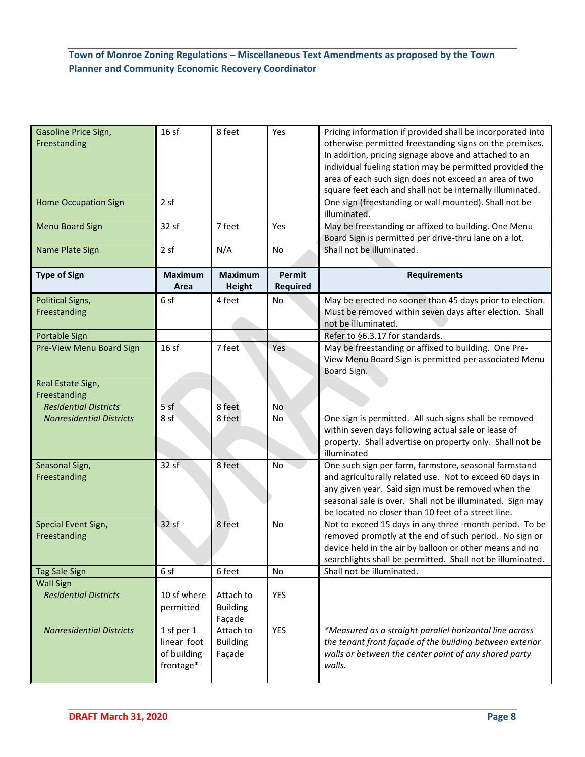| Gasoline Price Sign,<br>Freestanding                                                                 | 16sf                                    | 8 feet                                              | Yes                       | Pricing information if provided shall be incorporated into<br>otherwise permitted freestanding signs on the premises.<br>In addition, pricing signage above and attached to an<br>individual fueling station may be permitted provided the<br>area of each such sign does not exceed an area of two<br>square feet each and shall not be internally illuminated. |
|------------------------------------------------------------------------------------------------------|-----------------------------------------|-----------------------------------------------------|---------------------------|------------------------------------------------------------------------------------------------------------------------------------------------------------------------------------------------------------------------------------------------------------------------------------------------------------------------------------------------------------------|
| <b>Home Occupation Sign</b>                                                                          | 2 sf                                    |                                                     |                           | One sign (freestanding or wall mounted). Shall not be<br>illuminated.                                                                                                                                                                                                                                                                                            |
| <b>Menu Board Sign</b>                                                                               | 32 sf                                   | 7 feet                                              | Yes                       | May be freestanding or affixed to building. One Menu<br>Board Sign is permitted per drive-thru lane on a lot.                                                                                                                                                                                                                                                    |
| Name Plate Sign                                                                                      | 2 sf                                    | N/A                                                 | No                        | Shall not be illuminated.                                                                                                                                                                                                                                                                                                                                        |
| <b>Type of Sign</b>                                                                                  | <b>Maximum</b><br>Area                  | <b>Maximum</b><br><b>Height</b>                     | <b>Permit</b><br>Required | <b>Requirements</b>                                                                                                                                                                                                                                                                                                                                              |
| <b>Political Signs,</b><br>Freestanding                                                              | 6 sf                                    | 4 feet                                              | No                        | May be erected no sooner than 45 days prior to election.<br>Must be removed within seven days after election. Shall<br>not be illuminated.                                                                                                                                                                                                                       |
| Portable Sign                                                                                        |                                         |                                                     |                           | Refer to §6.3.17 for standards.                                                                                                                                                                                                                                                                                                                                  |
| Pre-View Menu Board Sign                                                                             | 16sf                                    | 7 feet                                              | Yes                       | May be freestanding or affixed to building. One Pre-<br>View Menu Board Sign is permitted per associated Menu<br>Board Sign.                                                                                                                                                                                                                                     |
| Real Estate Sign,<br>Freestanding<br><b>Residential Districts</b><br><b>Nonresidential Districts</b> | 5sf<br>8 sf                             | 8 feet<br>8 feet                                    | No<br>No                  | One sign is permitted. All such signs shall be removed<br>within seven days following actual sale or lease of<br>property. Shall advertise on property only. Shall not be<br>illuminated                                                                                                                                                                         |
| Seasonal Sign,<br>Freestanding                                                                       | 32sf                                    | 8 feet                                              | No                        | One such sign per farm, farmstore, seasonal farmstand<br>and agriculturally related use. Not to exceed 60 days in<br>any given year. Said sign must be removed when the<br>seasonal sale is over. Shall not be illuminated. Sign may<br>be located no closer than 10 feet of a street line.                                                                      |
| Special Event Sign,<br>Freestanding                                                                  | 32 sf                                   | 8 feet                                              | No                        | Not to exceed 15 days in any three -month period. To be<br>removed promptly at the end of such period. No sign or<br>device held in the air by balloon or other means and no<br>searchlights shall be permitted. Shall not be illuminated.                                                                                                                       |
| <b>Tag Sale Sign</b>                                                                                 | 6 sf                                    | 6 feet                                              | No                        | Shall not be illuminated.                                                                                                                                                                                                                                                                                                                                        |
| <b>Wall Sign</b><br><b>Residential Districts</b><br><b>Nonresidential Districts</b>                  | 10 sf where<br>permitted<br>1 sf per 1  | Attach to<br><b>Building</b><br>Façade<br>Attach to | YES<br>YES                | *Measured as a straight parallel horizontal line across                                                                                                                                                                                                                                                                                                          |
|                                                                                                      | linear foot<br>of building<br>frontage* | <b>Building</b><br>Façade                           |                           | the tenant front façade of the building between exterior<br>walls or between the center point of any shared party<br>walls.                                                                                                                                                                                                                                      |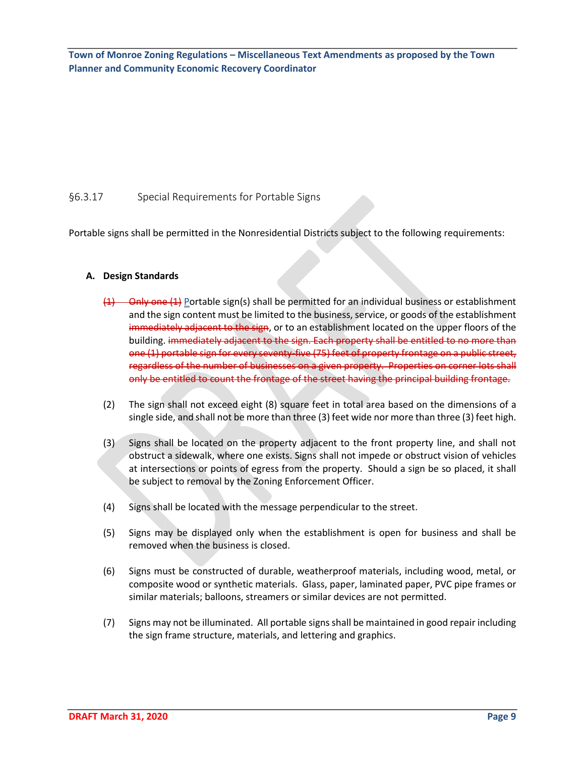#### §6.3.17 Special Requirements for Portable Signs

Portable signs shall be permitted in the Nonresidential Districts subject to the following requirements:

#### **A. Design Standards**

- (1) Only one (1) Portable sign(s) shall be permitted for an individual business or establishment and the sign content must be limited to the business, service, or goods of the establishment immediately adjacent to the sign, or to an establishment located on the upper floors of the building. immediately adjacent to the sign. Each property shall be entitled to no more than one (1) portable sign for every seventy-five (75) feet of property frontage on a public street, regardless of the number of businesses on a given property. Properties on corner lots shall only be entitled to count the frontage of the street having the principal building frontage.
- (2) The sign shall not exceed eight (8) square feet in total area based on the dimensions of a single side, and shall not be more than three (3) feet wide nor more than three (3) feet high.
- (3) Signs shall be located on the property adjacent to the front property line, and shall not obstruct a sidewalk, where one exists. Signs shall not impede or obstruct vision of vehicles at intersections or points of egress from the property. Should a sign be so placed, it shall be subject to removal by the Zoning Enforcement Officer.
- (4) Signs shall be located with the message perpendicular to the street.
- (5) Signs may be displayed only when the establishment is open for business and shall be removed when the business is closed.
- (6) Signs must be constructed of durable, weatherproof materials, including wood, metal, or composite wood or synthetic materials. Glass, paper, laminated paper, PVC pipe frames or similar materials; balloons, streamers or similar devices are not permitted.
- (7) Signs may not be illuminated. All portable signs shall be maintained in good repair including the sign frame structure, materials, and lettering and graphics.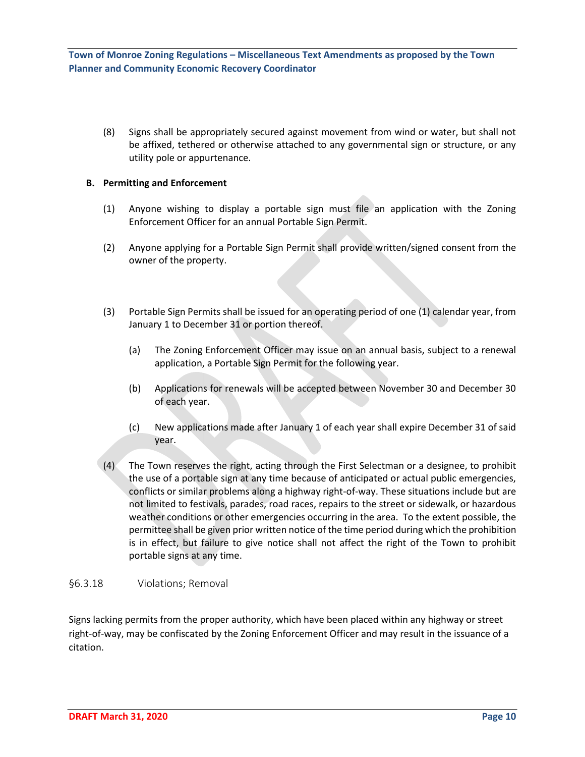(8) Signs shall be appropriately secured against movement from wind or water, but shall not be affixed, tethered or otherwise attached to any governmental sign or structure, or any utility pole or appurtenance.

#### **B. Permitting and Enforcement**

- (1) Anyone wishing to display a portable sign must file an application with the Zoning Enforcement Officer for an annual Portable Sign Permit.
- (2) Anyone applying for a Portable Sign Permit shall provide written/signed consent from the owner of the property.
- (3) Portable Sign Permits shall be issued for an operating period of one (1) calendar year, from January 1 to December 31 or portion thereof.
	- (a) The Zoning Enforcement Officer may issue on an annual basis, subject to a renewal application, a Portable Sign Permit for the following year.
	- (b) Applications for renewals will be accepted between November 30 and December 30 of each year.
	- (c) New applications made after January 1 of each year shall expire December 31 of said year.
- (4) The Town reserves the right, acting through the First Selectman or a designee, to prohibit the use of a portable sign at any time because of anticipated or actual public emergencies, conflicts or similar problems along a highway right-of-way. These situations include but are not limited to festivals, parades, road races, repairs to the street or sidewalk, or hazardous weather conditions or other emergencies occurring in the area. To the extent possible, the permittee shall be given prior written notice of the time period during which the prohibition is in effect, but failure to give notice shall not affect the right of the Town to prohibit portable signs at any time.

#### §6.3.18 Violations; Removal

Signs lacking permits from the proper authority, which have been placed within any highway or street right-of-way, may be confiscated by the Zoning Enforcement Officer and may result in the issuance of a citation.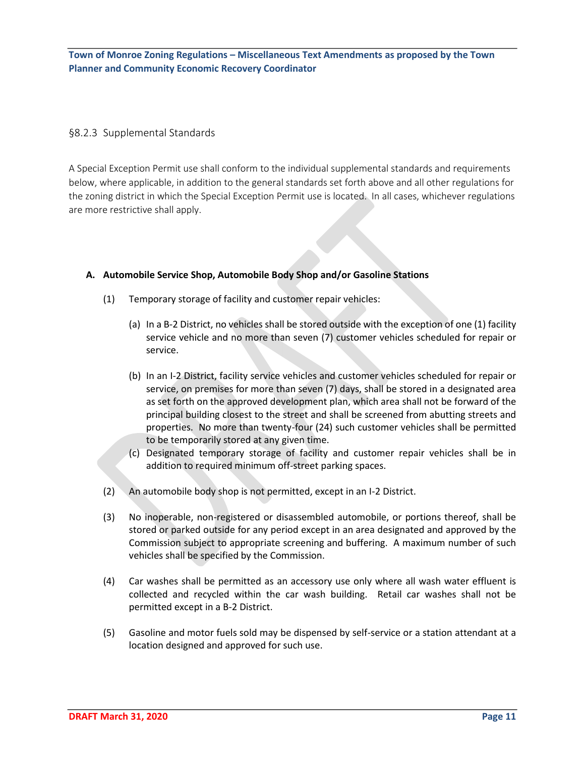#### §8.2.3 Supplemental Standards

A Special Exception Permit use shall conform to the individual supplemental standards and requirements below, where applicable, in addition to the general standards set forth above and all other regulations for the zoning district in which the Special Exception Permit use is located. In all cases, whichever regulations are more restrictive shall apply.

#### **A. Automobile Service Shop, Automobile Body Shop and/or Gasoline Stations**

- (1) Temporary storage of facility and customer repair vehicles:
	- (a) In a B-2 District, no vehicles shall be stored outside with the exception of one (1) facility service vehicle and no more than seven (7) customer vehicles scheduled for repair or service.
	- (b) In an I-2 District, facility service vehicles and customer vehicles scheduled for repair or service, on premises for more than seven (7) days, shall be stored in a designated area as set forth on the approved development plan, which area shall not be forward of the principal building closest to the street and shall be screened from abutting streets and properties. No more than twenty-four (24) such customer vehicles shall be permitted to be temporarily stored at any given time.
	- (c) Designated temporary storage of facility and customer repair vehicles shall be in addition to required minimum off-street parking spaces.
- (2) An automobile body shop is not permitted, except in an I-2 District.
- (3) No inoperable, non-registered or disassembled automobile, or portions thereof, shall be stored or parked outside for any period except in an area designated and approved by the Commission subject to appropriate screening and buffering. A maximum number of such vehicles shall be specified by the Commission.
- (4) Car washes shall be permitted as an accessory use only where all wash water effluent is collected and recycled within the car wash building. Retail car washes shall not be permitted except in a B-2 District.
- (5) Gasoline and motor fuels sold may be dispensed by self-service or a station attendant at a location designed and approved for such use.